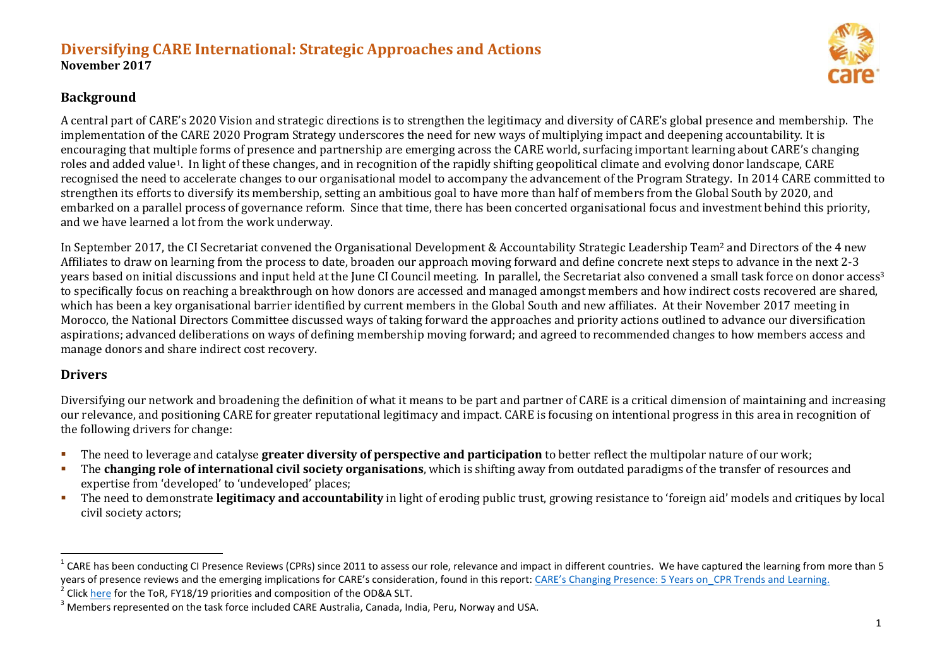### **Diversifying CARE International: Strategic Approaches and Actions November 2017**



### **Background**

A central part of CARE's 2020 Vision and strategic directions is to strengthen the legitimacy and diversity of CARE's global presence and membership. The implementation of the CARE 2020 Program Strategy underscores the need for new ways of multiplying impact and deepening accountability. It is encouraging that multiple forms of presence and partnership are emerging across the CARE world, surfacing important learning about CARE's changing roles and added value1. In light of these changes, and in recognition of the rapidly shifting geopolitical climate and evolving donor landscape, CARE recognised the need to accelerate changes to our organisational model to accompany the advancement of the Program Strategy. In 2014 CARE committed to strengthen its efforts to diversify its membership, setting an ambitious goal to have more than half of members from the Global South by 2020, and embarked on a parallel process of governance reform. Since that time, there has been concerted organisational focus and investment behind this priority, and we have learned a lot from the work underway.

In September 2017, the CI Secretariat convened the Organisational Development & Accountability Strategic Leadership Team<sup>2</sup> and Directors of the 4 new Affiliates to draw on learning from the process to date, broaden our approach moving forward and define concrete next steps to advance in the next 2-3 years based on initial discussions and input held at the June CI Council meeting. In parallel, the Secretariat also convened a small task force on donor access<sup>3</sup> to specifically focus on reaching a breakthrough on how donors are accessed and managed amongst members and how indirect costs recovered are shared, which has been a key organisational barrier identified by current members in the Global South and new affiliates. At their November 2017 meeting in Morocco, the National Directors Committee discussed ways of taking forward the approaches and priority actions outlined to advance our diversification aspirations; advanced deliberations on ways of defining membership moving forward; and agreed to recommended changes to how members access and manage donors and share indirect cost recovery.

## **Drivers**

 $\overline{a}$ 

Diversifying our network and broadening the definition of what it means to be part and partner of CARE is a critical dimension of maintaining and increasing our relevance, and positioning CARE for greater reputational legitimacy and impact. CARE is focusing on intentional progress in this area in recognition of the following drivers for change:

- The need to leverage and catalyse **greater diversity of perspective and participation** to better reflect the multipolar nature of our work;
- The **changing role of international civil society organisations**, which is shifting away from outdated paradigms of the transfer of resources and expertise from 'developed' to 'undeveloped' places;
- The need to demonstrate **legitimacy and accountability** in light of eroding public trust, growing resistance to 'foreign aid' models and critiques by local civil society actors;

<sup>&</sup>lt;sup>1</sup> CARE has been conducting CI Presence Reviews (CPRs) since 2011 to assess our role, relevance and impact in different countries. We have captured the learning from more than 5 years of presence reviews and the emerging implications for CARE's consideration, found in this report: CAR[E's Changing Presence: 5 Years o](https://www.dropbox.com/s/24m75vy2x00dzj9/CARE%27s%20Changing%20Presence%205%20Years%20On_CPR%20Trends%20and%20Learning_June2017.docx?dl=0)n CPR Trends and Learning.

<sup>&</sup>lt;sup>2</sup> Clic[k here](https://www.dropbox.com/s/9iuaxwhb2edq9a8/ODA%20TOR%20and%20FY18-19%20Priorities_Nov2017.docx?dl=0) for the ToR, FY18/19 priorities and composition of the OD&A SLT.

<sup>&</sup>lt;sup>3</sup> Members represented on the task force included CARE Australia, Canada, India, Peru, Norway and USA.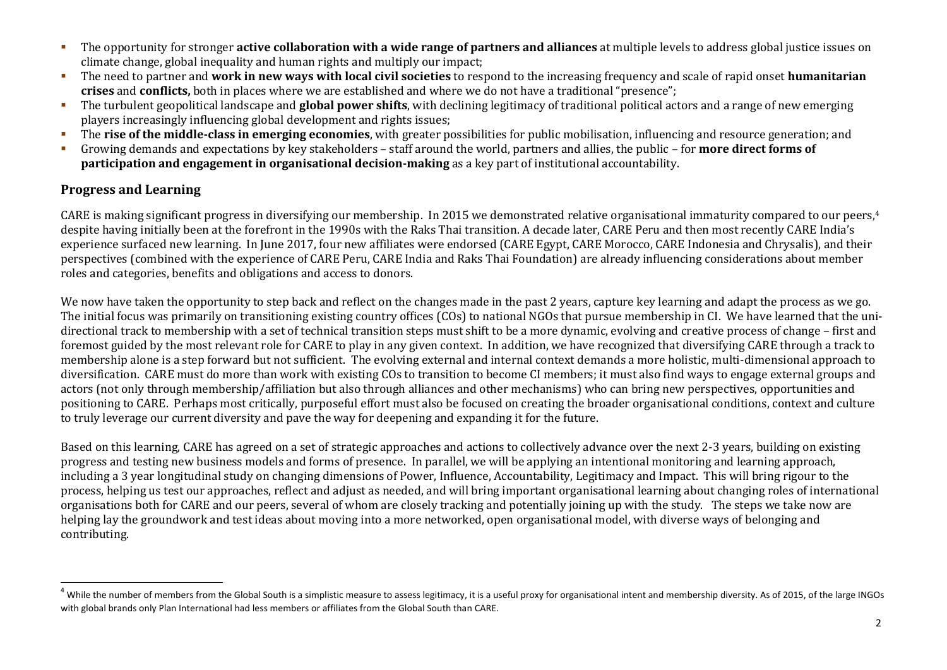- The opportunity for stronger **active collaboration with a wide range of partners and alliances** at multiple levels to address global justice issues on climate change, global inequality and human rights and multiply our impact;
- The need to partner and **work in new ways with local civil societies** to respond to the increasing frequency and scale of rapid onset **humanitarian crises** and **conflicts,** both in places where we are established and where we do not have a traditional "presence";
- The turbulent geopolitical landscape and **global power shifts**, with declining legitimacy of traditional political actors and a range of new emerging players increasingly influencing global development and rights issues;
- The **rise of the middle-class in emerging economies**, with greater possibilities for public mobilisation, influencing and resource generation; and
- Growing demands and expectations by key stakeholders staff around the world, partners and allies, the public for **more direct forms of participation and engagement in organisational decision-making** as a key part of institutional accountability.

### **Progress and Learning**

 $\overline{a}$ 

CARE is making significant progress in diversifying our membership. In 2015 we demonstrated relative organisational immaturity compared to our peers, 4 despite having initially been at the forefront in the 1990s with the Raks Thai transition. A decade later, CARE Peru and then most recently CARE India's experience surfaced new learning. In June 2017, four new affiliates were endorsed (CARE Egypt, CARE Morocco, CARE Indonesia and Chrysalis), and their perspectives (combined with the experience of CARE Peru, CARE India and Raks Thai Foundation) are already influencing considerations about member roles and categories, benefits and obligations and access to donors.

We now have taken the opportunity to step back and reflect on the changes made in the past 2 years, capture key learning and adapt the process as we go. The initial focus was primarily on transitioning existing country offices (COs) to national NGOs that pursue membership in CI. We have learned that the unidirectional track to membership with a set of technical transition steps must shift to be a more dynamic, evolving and creative process of change – first and foremost guided by the most relevant role for CARE to play in any given context. In addition, we have recognized that diversifying CARE through a track to membership alone is a step forward but not sufficient. The evolving external and internal context demands a more holistic, multi-dimensional approach to diversification. CARE must do more than work with existing COs to transition to become CI members; it must also find ways to engage external groups and actors (not only through membership/affiliation but also through alliances and other mechanisms) who can bring new perspectives, opportunities and positioning to CARE. Perhaps most critically, purposeful effort must also be focused on creating the broader organisational conditions, context and culture to truly leverage our current diversity and pave the way for deepening and expanding it for the future.

Based on this learning, CARE has agreed on a set of strategic approaches and actions to collectively advance over the next 2-3 years, building on existing progress and testing new business models and forms of presence. In parallel, we will be applying an intentional monitoring and learning approach, including a 3 year longitudinal study on changing dimensions of Power, Influence, Accountability, Legitimacy and Impact. This will bring rigour to the process, helping us test our approaches, reflect and adjust as needed, and will bring important organisational learning about changing roles of international organisations both for CARE and our peers, several of whom are closely tracking and potentially joining up with the study. The steps we take now are helping lay the groundwork and test ideas about moving into a more networked, open organisational model, with diverse ways of belonging and contributing.

 $4$  While the number of members from the Global South is a simplistic measure to assess legitimacy, it is a useful proxy for organisational intent and membership diversity. As of 2015, of the large INGOs with global brands only Plan International had less members or affiliates from the Global South than CARE.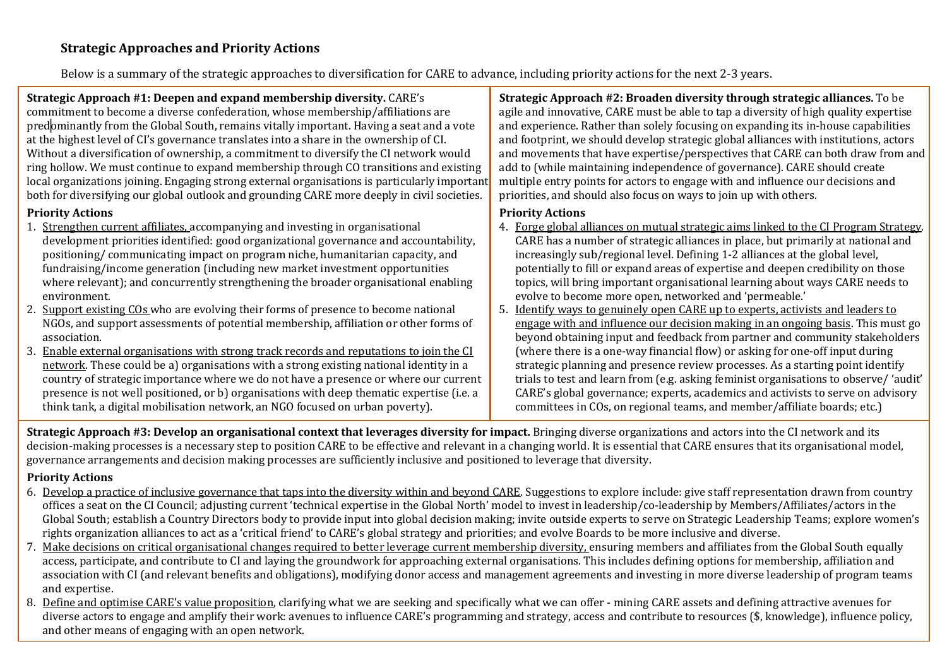Below is a summary of the strategic approaches to diversification for CARE to advance, including priority actions for the next 2-3 years.

**Strategic Approach #1: Deepen and expand membership diversity.** CARE's commitment to become a diverse confederation, whose membership/affiliations are predominantly from the Global South, remains vitally important. Having a seat and a vote at the highest level of CI's governance translates into a share in the ownership of CI. Without a diversification of ownership, a commitment to diversify the CI network would ring hollow. We must continue to expand membership through CO transitions and existing local organizations joining. Engaging strong external organisations is particularly important both for diversifying our global outlook and grounding CARE more deeply in civil societies.

#### **Priority Actions**

- 1. Strengthen current affiliates, accompanying and investing in organisational development priorities identified: good organizational governance and accountability, positioning/ communicating impact on program niche, humanitarian capacity, and fundraising/income generation (including new market investment opportunities where relevant); and concurrently strengthening the broader organisational enabling environment.
- 2. Support existing COs who are evolving their forms of presence to become national NGOs, and support assessments of potential membership, affiliation or other forms of association.
- 3. Enable external organisations with strong track records and reputations to join the CI network. These could be a) organisations with a strong existing national identity in a country of strategic importance where we do not have a presence or where our current presence is not well positioned, or b) organisations with deep thematic expertise (i.e. a think tank, a digital mobilisation network, an NGO focused on urban poverty).

**Strategic Approach #2: Broaden diversity through strategic alliances.** To be agile and innovative, CARE must be able to tap a diversity of high quality expertise and experience. Rather than solely focusing on expanding its in-house capabilities and footprint, we should develop strategic global alliances with institutions, actors and movements that have expertise/perspectives that CARE can both draw from and add to (while maintaining independence of governance). CARE should create multiple entry points for actors to engage with and influence our decisions and priorities, and should also focus on ways to join up with others.

#### **Priority Actions**

- 4. Forge global alliances on mutual strategic aims linked to the CI Program Strategy. CARE has a number of strategic alliances in place, but primarily at national and increasingly sub/regional level. Defining 1-2 alliances at the global level, potentially to fill or expand areas of expertise and deepen credibility on those topics, will bring important organisational learning about ways CARE needs to evolve to become more open, networked and 'permeable.'
- 5. Identify ways to genuinely open CARE up to experts, activists and leaders to engage with and influence our decision making in an ongoing basis. This must go beyond obtaining input and feedback from partner and community stakeholders (where there is a one-way financial flow) or asking for one-off input during strategic planning and presence review processes. As a starting point identify trials to test and learn from (e.g. asking feminist organisations to observe/ 'audit' CARE's global governance; experts, academics and activists to serve on advisory committees in COs, on regional teams, and member/affiliate boards; etc.)

**Strategic Approach #3: Develop an organisational context that leverages diversity for impact.** Bringing diverse organizations and actors into the CI network and its decision-making processes is a necessary step to position CARE to be effective and relevant in a changing world. It is essential that CARE ensures that its organisational model, governance arrangements and decision making processes are sufficiently inclusive and positioned to leverage that diversity.

#### **Priority Actions**

- 6. Develop a practice of inclusive governance that taps into the diversity within and beyond CARE. Suggestions to explore include: give staff representation drawn from country offices a seat on the CI Council; adjusting current 'technical expertise in the Global North' model to invest in leadership/co-leadership by Members/Affiliates/actors in the Global South; establish a Country Directors body to provide input into global decision making; invite outside experts to serve on Strategic Leadership Teams; explore women's rights organization alliances to act as a 'critical friend' to CARE's global strategy and priorities; and evolve Boards to be more inclusive and diverse.
- 7. Make decisions on critical organisational changes required to better leverage current membership diversity, ensuring members and affiliates from the Global South equally access, participate, and contribute to CI and laying the groundwork for approaching external organisations. This includes defining options for membership, affiliation and association with CI (and relevant benefits and obligations), modifying donor access and management agreements and investing in more diverse leadership of program teams and expertise.
- diverse actors to engage and amplify their work: avenues to influence CARE's programming and strategy, access and contribute to resources (\$, knowledge), influence policy,<br>and other means of engaging with an energy others 8. Define and optimise CARE's value proposition, clarifying what we are seeking and specifically what we can offer - mining CARE assets and defining attractive avenues for and other means of engaging with an open network.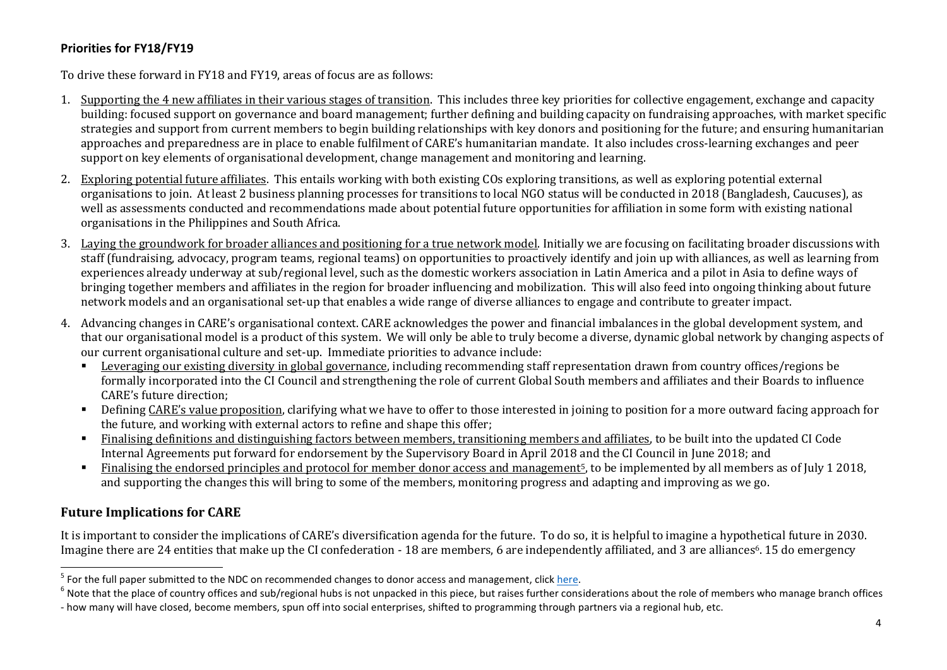### **Priorities for FY18/FY19**

To drive these forward in FY18 and FY19, areas of focus are as follows:

- 1. Supporting the 4 new affiliates in their various stages of transition. This includes three key priorities for collective engagement, exchange and capacity building: focused support on governance and board management; further defining and building capacity on fundraising approaches, with market specific strategies and support from current members to begin building relationships with key donors and positioning for the future; and ensuring humanitarian approaches and preparedness are in place to enable fulfilment of CARE's humanitarian mandate. It also includes cross-learning exchanges and peer support on key elements of organisational development, change management and monitoring and learning.
- 2. Exploring potential future affiliates. This entails working with both existing COs exploring transitions, as well as exploring potential external organisations to join. At least 2 business planning processes for transitions to local NGO status will be conducted in 2018 (Bangladesh, Caucuses), as well as assessments conducted and recommendations made about potential future opportunities for affiliation in some form with existing national organisations in the Philippines and South Africa.
- 3. Laying the groundwork for broader alliances and positioning for a true network model. Initially we are focusing on facilitating broader discussions with staff (fundraising, advocacy, program teams, regional teams) on opportunities to proactively identify and join up with alliances, as well as learning from experiences already underway at sub/regional level, such as the domestic workers association in Latin America and a pilot in Asia to define ways of bringing together members and affiliates in the region for broader influencing and mobilization. This will also feed into ongoing thinking about future network models and an organisational set-up that enables a wide range of diverse alliances to engage and contribute to greater impact.
- 4. Advancing changes in CARE's organisational context. CARE acknowledges the power and financial imbalances in the global development system, and that our organisational model is a product of this system. We will only be able to truly become a diverse, dynamic global network by changing aspects of our current organisational culture and set-up. Immediate priorities to advance include:
	- Leveraging our existing diversity in global governance, including recommending staff representation drawn from country offices/regions be formally incorporated into the CI Council and strengthening the role of current Global South members and affiliates and their Boards to influence CARE's future direction;
	- Defining CARE's value proposition, clarifying what we have to offer to those interested in joining to position for a more outward facing approach for the future, and working with external actors to refine and shape this offer;
	- Finalising definitions and distinguishing factors between members, transitioning members and affiliates, to be built into the updated CI Code Internal Agreements put forward for endorsement by the Supervisory Board in April 2018 and the CI Council in June 2018; and
	- Finalising the endorsed principles and protocol for member donor access and management<sup>5</sup>, to be implemented by all members as of July 1 2018, and supporting the changes this will bring to some of the members, monitoring progress and adapting and improving as we go.

# **Future Implications for CARE**

It is important to consider the implications of CARE's diversification agenda for the future. To do so, it is helpful to imagine a hypothetical future in 2030. Imagine there are 24 entities that make up the CI confederation - 18 are members, 6 are independently affiliated, and 3 are alliances<sup>6</sup>. 15 do emergency

<sup>&</sup>lt;u>-</u><br><sup>5</sup> For the full paper submitted to the NDC on recommended changes to donor access and management, click <u>here</u>.

 $^6$  Note that the place of country offices and sub/regional hubs is not unpacked in this piece, but raises further considerations about the role of members who manage branch offices - how many will have closed, become members, spun off into social enterprises, shifted to programming through partners via a regional hub, etc.